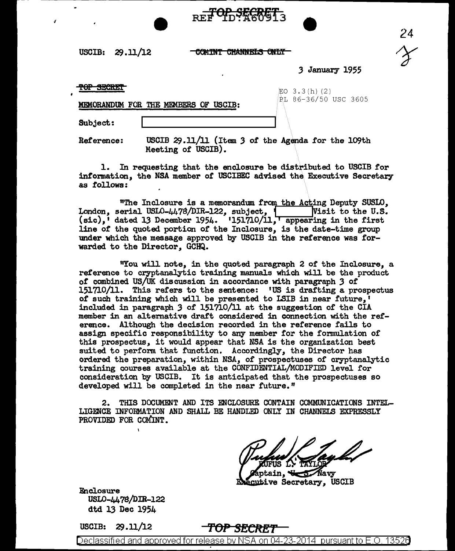USCIB: 29.ll/12

**COMINT CHANNELS ONLY** 

REF TD: X60913



J January 1955

 $\overline{r}$  or  $\overline{r}$   $\overline{r}$   $\overline{r}$   $\overline{r}$   $\overline{r}$   $\overline{r}$   $\overline{r}$   $\overline{r}$   $\overline{r}$   $\overline{r}$   $\overline{r}$   $\overline{r}$   $\overline{r}$   $\overline{r}$   $\overline{r}$   $\overline{r}$   $\overline{r}$   $\overline{r}$   $\overline{r}$   $\overline{r}$   $\overline{r}$   $\overline{r}$   $\overline{r}$   $\$ 

;

MEMORANDUM FOR THE MEMBERS OF USCIB: PL 86-36/50 USC 3605

Subject:

Reference: USCIB 29.11/11 (Item J of the Agenda for the 109th Meeting of USCIB).

1. In requesting that the enclosure be distributed to USCIB for information, the NSA member of USCIBEC advised the Executive Secretary as follows:

"The Inclosure is a memorandum from the Acting Deputy SUSIO, London, serial USLO-4478/DIR-122, subject, 1 lyisit to the U.S.  $(\text{sic})$ , dated 13 December 1954. 1151710/11, appearing in the first line of the quoted portion of the Inclosure, is the date-time group under which the message approved. by USCIB in the reference was forwarded to the Director, GCHQ.

"You will note, in the quoted paragraph 2 of the Inclosure, a reference to cryptanalytic training manuals which will be the product of' combined US/UK discussion in accordance with paragraph *3* of 151710/11. This refers to the sentence: •us is drafting a prospectus of such training which will be presented to LSIB in near future,' included in paragraph J of 151710/11 at the suggestion of the CIA member in an altemative draft considered in connection with the reference. Although the decision recorded in the reference fails to assign specific responsibility to any member for the formulation of this prospectus, it would appear that NSA is the organization best suited to perform that function. Accordingly, the Director has ordered the preparation, within NSA, of prospectuses of cryptanalytic training courses available at the CONFIDENTIAL/MODIFIED level for consideration by USCIB. It is anticipated that the prospectuses so developed will be completed in the near future."

2. THIS DOCUMENT AND ITS ENCLOSURE CONTAIN COMMUNICATIONS INTEL-LIGmCE INFORMATION AND SHALL BE HANDLED ONLY IN CHANNELS EXPRESSLY PROVIDED FOR COMINT.

ain,  $\sqrt{2}$  Navy cutive Secretary, USCIB

Enclosure USL0-4478/DIR-122 dtd 13 Dec 1954

 $\lambda$ 

USCIB: 29 .11/12

TOP SECRET

Declassified and approved for release by NSA on 04-23-2014 pursuantto E.O. 1352a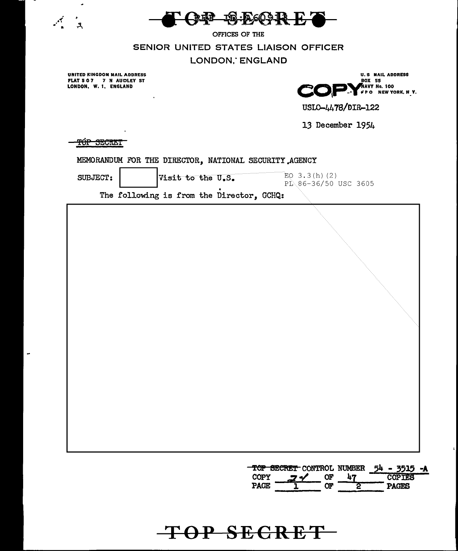

OFFICES OF THE

SENIOR UNITED STATES LIAISON OFFICER

LONDON, ENGLAND

UNITED KINGDOM MAIL ADDRESS<br>FLAT 5 0 7 7 N AUDLEY ST<br>LONDON, W. 1, ENGLAND

 $\hat{\phantom{a}}$ 

 $\bullet$ 

 $\mathcal{A}$ 

 $\mathcal{L}$ 

 $\overline{\phantom{a}}$ 



USLO-4478/DIR-122

13 December 1954

**THE SECRET** 

|                                                                                                                      | TOP SECRET CONTROL NUMBER 54 - 3515 -A<br><b>COPTES</b> |
|----------------------------------------------------------------------------------------------------------------------|---------------------------------------------------------|
|                                                                                                                      |                                                         |
|                                                                                                                      |                                                         |
|                                                                                                                      |                                                         |
|                                                                                                                      |                                                         |
|                                                                                                                      |                                                         |
|                                                                                                                      |                                                         |
| $EQ$ 3.3(h)(2)<br>SUBJECT:<br>Visit to the U.S.<br>PL 86-36/50 USC 3605<br>The following is from the Director, GCHQ: |                                                         |

TOP SECRET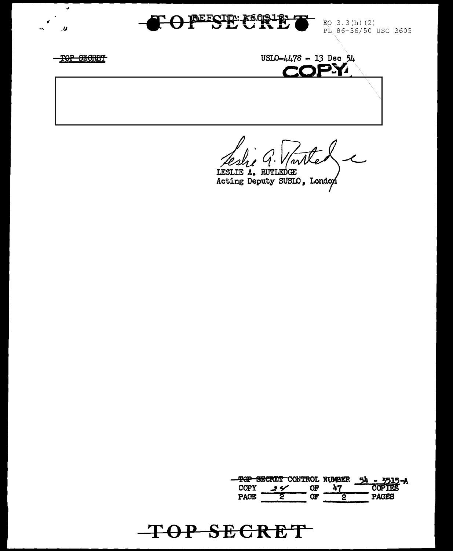

TOP SECRET

EO 3.3(h)(2) PL 86-36/50 USC 3605

TOP SECRET

م

 $\boldsymbol{v}$ 

 $USLO-4478 - 13 Dec 54$ **COPY** 

 $^{\prime}$ ar $\overline{\Lambda}$ 

LESLIE A. RUTLEDGE Acting Deputy SUSIO, London